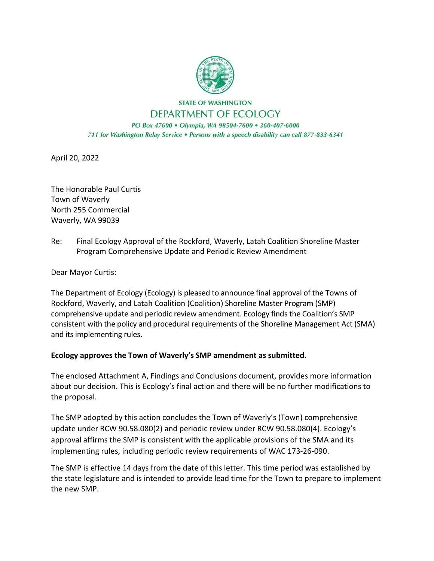

**STATE OF WASHINGTON** DEPARTMENT OF ECOLOGY

PO Box 47600 · Olympia, WA 98504-7600 · 360-407-6000 711 for Washington Relay Service . Persons with a speech disability can call 877-833-6341

April 20, 2022

The Honorable Paul Curtis Town of Waverly North 255 Commercial Waverly, WA 99039

Re: Final Ecology Approval of the Rockford, Waverly, Latah Coalition Shoreline Master Program Comprehensive Update and Periodic Review Amendment

Dear Mayor Curtis:

The Department of Ecology (Ecology) is pleased to announce final approval of the Towns of Rockford, Waverly, and Latah Coalition (Coalition) Shoreline Master Program (SMP) comprehensive update and periodic review amendment. Ecology finds the Coalition's SMP consistent with the policy and procedural requirements of the Shoreline Management Act (SMA) and its implementing rules.

## **Ecology approves the Town of Waverly's SMP amendment as submitted.**

The enclosed Attachment A, Findings and Conclusions document, provides more information about our decision. This is Ecology's final action and there will be no further modifications to the proposal.

The SMP adopted by this action concludes the Town of Waverly's (Town) comprehensive update under RCW 90.58.080(2) and periodic review under RCW 90.58.080(4). Ecology's approval affirms the SMP is consistent with the applicable provisions of the SMA and its implementing rules, including periodic review requirements of WAC 173-26-090.

The SMP is effective 14 days from the date of this letter. This time period was established by the state legislature and is intended to provide lead time for the Town to prepare to implement the new SMP.